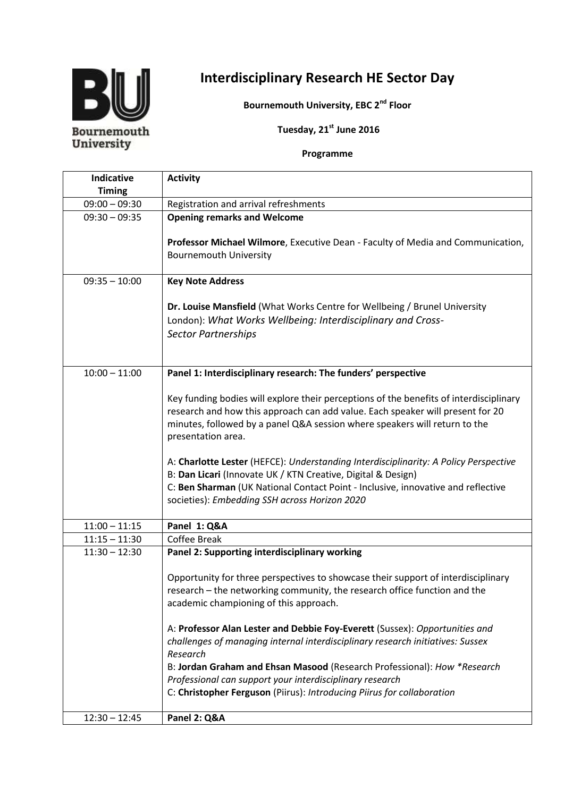

## **Interdisciplinary Research HE Sector Day**

**Bournemouth University, EBC 2 nd Floor**

**Tuesday, 21 st June 2016**

## **Programme**

| <b>Indicative</b> | <b>Activity</b>                                                                                                                                                                                                                                                                           |
|-------------------|-------------------------------------------------------------------------------------------------------------------------------------------------------------------------------------------------------------------------------------------------------------------------------------------|
| <b>Timing</b>     |                                                                                                                                                                                                                                                                                           |
| $09:00 - 09:30$   | Registration and arrival refreshments                                                                                                                                                                                                                                                     |
| $09:30 - 09:35$   | <b>Opening remarks and Welcome</b>                                                                                                                                                                                                                                                        |
|                   | Professor Michael Wilmore, Executive Dean - Faculty of Media and Communication,<br><b>Bournemouth University</b>                                                                                                                                                                          |
| $09:35 - 10:00$   | <b>Key Note Address</b>                                                                                                                                                                                                                                                                   |
|                   | Dr. Louise Mansfield (What Works Centre for Wellbeing / Brunel University<br>London): What Works Wellbeing: Interdisciplinary and Cross-<br><b>Sector Partnerships</b>                                                                                                                    |
| $10:00 - 11:00$   | Panel 1: Interdisciplinary research: The funders' perspective                                                                                                                                                                                                                             |
|                   | Key funding bodies will explore their perceptions of the benefits of interdisciplinary<br>research and how this approach can add value. Each speaker will present for 20<br>minutes, followed by a panel Q&A session where speakers will return to the<br>presentation area.              |
|                   | A: Charlotte Lester (HEFCE): Understanding Interdisciplinarity: A Policy Perspective<br>B: Dan Licari (Innovate UK / KTN Creative, Digital & Design)<br>C: Ben Sharman (UK National Contact Point - Inclusive, innovative and reflective<br>societies): Embedding SSH across Horizon 2020 |
| $11:00 - 11:15$   | Panel 1: Q&A                                                                                                                                                                                                                                                                              |
| $11:15 - 11:30$   | Coffee Break                                                                                                                                                                                                                                                                              |
| $11:30 - 12:30$   | Panel 2: Supporting interdisciplinary working                                                                                                                                                                                                                                             |
|                   | Opportunity for three perspectives to showcase their support of interdisciplinary<br>research - the networking community, the research office function and the<br>academic championing of this approach.                                                                                  |
|                   | A: Professor Alan Lester and Debbie Foy-Everett (Sussex): Opportunities and<br>challenges of managing internal interdisciplinary research initiatives: Sussex<br>Research<br>B: Jordan Graham and Ehsan Masood (Research Professional): How *Research                                     |
|                   | Professional can support your interdisciplinary research                                                                                                                                                                                                                                  |
|                   | C: Christopher Ferguson (Piirus): Introducing Piirus for collaboration                                                                                                                                                                                                                    |
| $12:30 - 12:45$   | Panel 2: Q&A                                                                                                                                                                                                                                                                              |